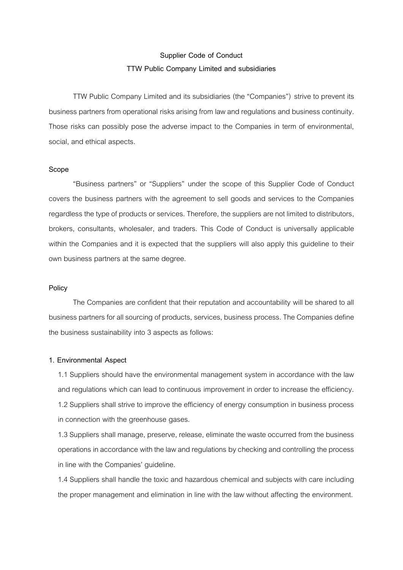# **Supplier Code of Conduct TTW Public Company Limited and subsidiaries**

TTW Public Company Limited and its subsidiaries (the "Companies") strive to prevent its business partners from operational risks arising from law and regulations and business continuity. Those risks can possibly pose the adverse impact to the Companies in term of environmental, social, and ethical aspects.

### **Scope**

"Business partners" or "Suppliers" under the scope of this Supplier Code of Conduct covers the business partners with the agreement to sell goods and services to the Companies regardless the type of products or services. Therefore, the suppliers are not limited to distributors, brokers, consultants, wholesaler, and traders. This Code of Conduct is universally applicable within the Companies and it is expected that the suppliers will also apply this guideline to their own business partners at the same degree.

#### **Policy**

The Companies are confident that their reputation and accountability will be shared to all business partners for all sourcing of products, services, business process. The Companies define the business sustainability into 3 aspects as follows:

## **1. Environmental Aspect**

1.1 Suppliers should have the environmental management system in accordance with the law and regulations which can lead to continuous improvement in order to increase the efficiency. 1.2 Suppliers shall strive to improve the efficiency of energy consumption in business process in connection with the greenhouse gases.

1.3 Suppliers shall manage, preserve, release, eliminate the waste occurred from the business operations in accordance with the law and regulations by checking and controlling the process in line with the Companies' guideline.

1.4 Suppliers shall handle the toxic and hazardous chemical and subjects with care including the proper management and elimination in line with the law without affecting the environment.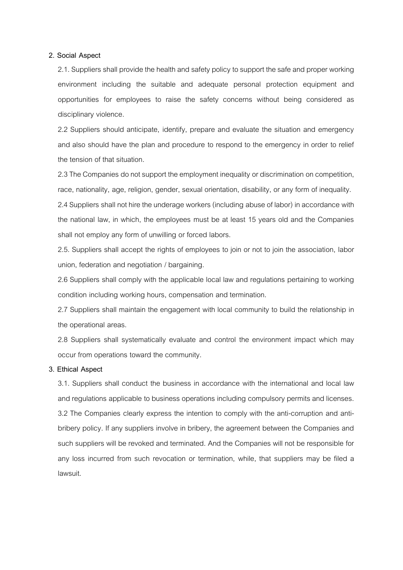## **2. Social Aspect**

2.1. Suppliers shall provide the health and safety policy to support the safe and proper working environment including the suitable and adequate personal protection equipment and opportunities for employees to raise the safety concerns without being considered as disciplinary violence.

2.2 Suppliers should anticipate, identify, prepare and evaluate the situation and emergency and also should have the plan and procedure to respond to the emergency in order to relief the tension of that situation.

2.3 The Companies do not support the employment inequality or discrimination on competition, race, nationality, age, religion, gender, sexual orientation, disability, or any form of inequality.

2.4 Suppliers shall not hire the underage workers (including abuse of labor) in accordance with the national law, in which, the employees must be at least 15 years old and the Companies shall not employ any form of unwilling or forced labors.

2.5. Suppliers shall accept the rights of employees to join or not to join the association, labor union, federation and negotiation / bargaining.

2.6 Suppliers shall comply with the applicable local law and regulations pertaining to working condition including working hours, compensation and termination.

2.7 Suppliers shall maintain the engagement with local community to build the relationship in the operational areas.

2.8 Suppliers shall systematically evaluate and control the environment impact which may occur from operations toward the community.

# **3. Ethical Aspect**

3.1. Suppliers shall conduct the business in accordance with the international and local law and regulations applicable to business operations including compulsory permits and licenses. 3.2 The Companies clearly express the intention to comply with the anti-corruption and antibribery policy. If any suppliers involve in bribery, the agreement between the Companies and such suppliers will be revoked and terminated. And the Companies will not be responsible for any loss incurred from such revocation or termination, while, that suppliers may be filed a lawsuit.